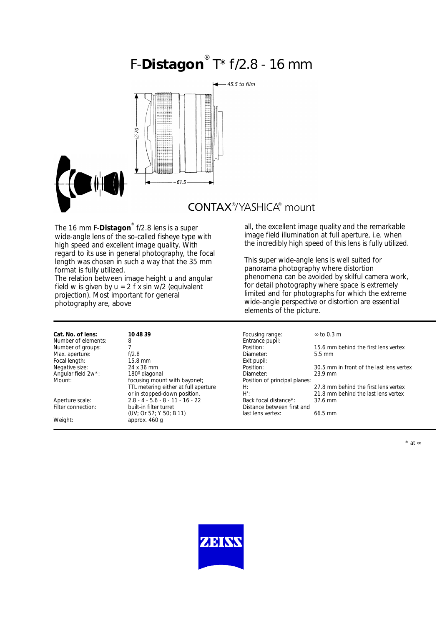# F-**Distagon** ® T\* f/2.8 - 16 mm



**CONTAX®YASHICA®** mount

The 16 mm F-**Distagon**® f/2.8 lens is a super wide-angle lens of the so-called fisheye type with high speed and excellent image quality. With regard to its use in general photography, the focal length was chosen in such a way that the 35 mm format is fully utilized.

The relation between image height u and angular field w is given by  $u = 2$  f x sin  $w/2$  (equivalent projection). Most important for general photography are, above

all, the excellent image quality and the remarkable image field illumination at full aperture, i.e. when the incredibly high speed of this lens is fully utilized.

This super wide-angle lens is well suited for panorama photography where distortion phenomena can be avoided by skilful camera work, for detail photography where space is extremely limited and for photographs for which the extreme wide-angle perspective or distortion are essential elements of the picture.

**Cat. No. of lens: 10 48 39 10 12 12** Focusing range: ∞ to 0.3 m<br>Number of elements: 8 The group of groups: 15.6 mm behind the first lens vertex<br>  $\frac{1}{2}$ .8 Diameter: 5.5 mm Negative size: 24 x 36 mm 24 x 36 mm Position: 30.5 mm in front of the last lens vertex<br>
Angular field 2w\*: 180° diagonal 180° in Front of the last lens vertex Angular field 2w<sup>\*</sup>: 180° diagonal and the process planeter: 23.9 mm<br>
Mount: 180° diagonal with bayonet: Position of principal planes: TTL metering either at full aperture<br>
TTL metering either at full aperture H: 27.8 mm behind the first lens vertex<br>
or in stopped-down position. H': 21.8 mm behind the last lens vertex H': 21.8 mm behind the last lens vertex<br>Back focal distance\*: 37.6 mm (UV; Or 57; Y 50; B 11) last lens vertex: 66.5 mm

Focal length:

Number of elements: 8<br>
Number of groups: 7<br>
2 Max. aperture: f/2.8 biameter: focal length: f/2.8 biameter: 5.5 mm biameter: 5.5 mm biameter: 5.5 mm biameter: 5.5 mm biameter: 5.5 mm biameter: 5.5 mm biameter: 5.5 mm biameter: 5.5 mm biameter: 5.5 mm biameter: 5.5 mm b More magazing<br>focusing mount with bayonet; Position of principal planes:<br>H: Aperture scale: 2.8 - 4 - 5.6 - 8 - 11 - 16 - 22<br>Filter connection: 37.6 mm Filter connection: built-in filter turret built Distance between first and<br>
(UV: Or 57: Y 50: B 11) ast lens vertex: Weight: approx. 460 g